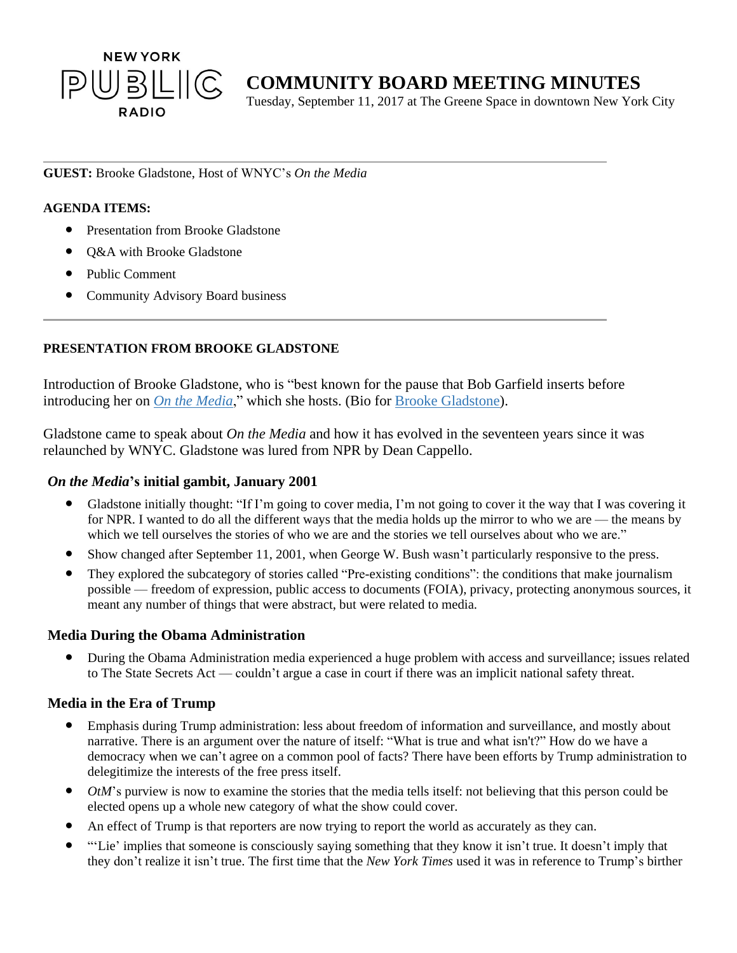

# **COMMUNITY BOARD MEETING MINUTES**

Tuesday, September 11, 2017 at The Greene Space in downtown New York City

#### **GUEST:** Brooke Gladstone, Host of WNYC's *On the Media*

#### **AGENDA ITEMS:**

- Presentation from Brooke Gladstone
- Q&A with Brooke Gladstone
- Public Comment
- Community Advisory Board business

## **PRESENTATION FROM BROOKE GLADSTONE**

Introduction of Brooke Gladstone, who is "best known for the pause that Bob Garfield inserts before introducing her on *On the [Media](http://www.wnyc.org/shows/otm/)*," which she hosts. (Bio for Brooke [Gladstone\)](http://www.wnyc.org/people/brooke-gladstone/).

Gladstone came to speak about *On the Media* and how it has evolved in the seventeen years since it was relaunched by WNYC. Gladstone was lured from NPR by Dean Cappello.

### *On the Media***'s initial gambit, January 2001**

- Gladstone initially thought: "If I'm going to cover media, I'm not going to cover it the way that I was covering it for NPR. I wanted to do all the different ways that the media holds up the mirror to who we are — the means by which we tell ourselves the stories of who we are and the stories we tell ourselves about who we are."
- Show changed after September 11, 2001, when George W. Bush wasn't particularly responsive to the press.
- They explored the subcategory of stories called "Pre-existing conditions": the conditions that make journalism possible — freedom of expression, public access to documents (FOIA), privacy, protecting anonymous sources, it meant any number of things that were abstract, but were related to media.

### **Media During the Obama Administration**

During the Obama Administration media experienced a huge problem with access and surveillance; issues related to The State Secrets Act — couldn't argue a case in court if there was an implicit national safety threat.

### **Media in the Era of Trump**

- Emphasis during Trump administration: less about freedom of information and surveillance, and mostly about narrative. There is an argument over the nature of itself: "What is true and what isn't?" How do we have a democracy when we can't agree on a common pool of facts? There have been efforts by Trump administration to delegitimize the interests of the free press itself.
- $OtM$ 's purview is now to examine the stories that the media tells itself: not believing that this person could be elected opens up a whole new category of what the show could cover.
- An effect of Trump is that reporters are now trying to report the world as accurately as they can.
- "'Lie' implies that someone is consciously saying something that they know it isn't true. It doesn't imply that they don't realize it isn't true. The first time that the *New York Times* used it was in reference to Trump's birther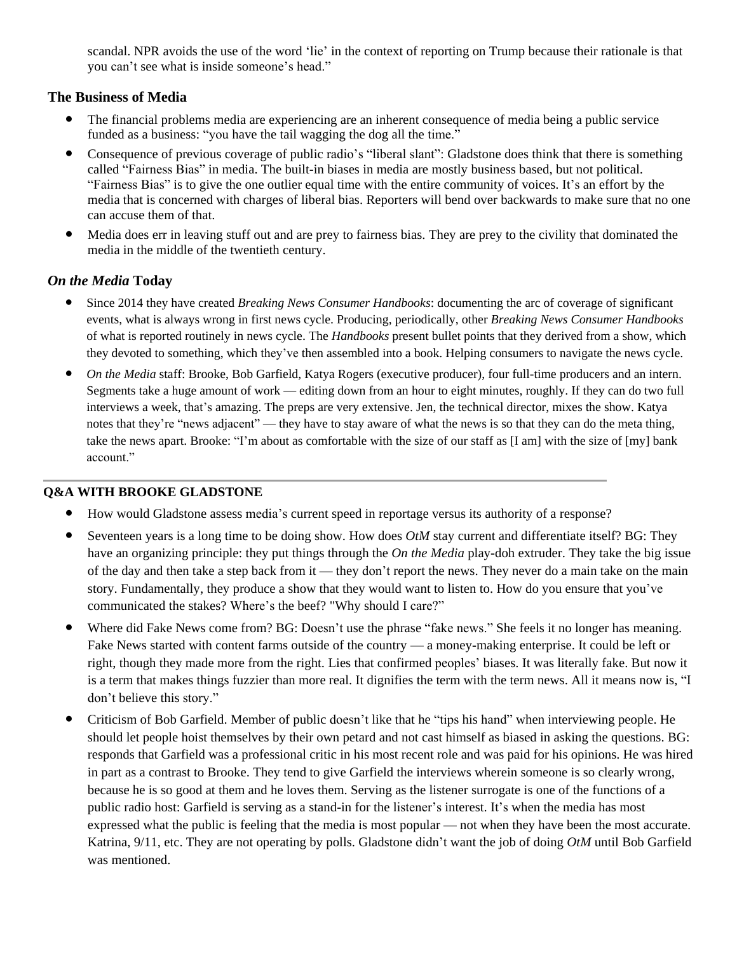scandal. NPR avoids the use of the word 'lie' in the context of reporting on Trump because their rationale is that you can't see what is inside someone's head."

## **The Business of Media**

- The financial problems media are experiencing are an inherent consequence of media being a public service funded as a business: "you have the tail wagging the dog all the time."
- Consequence of previous coverage of public radio's "liberal slant": Gladstone does think that there is something called "Fairness Bias" in media. The built-in biases in media are mostly business based, but not political. "Fairness Bias" is to give the one outlier equal time with the entire community of voices. It's an effort by the media that is concerned with charges of liberal bias. Reporters will bend over backwards to make sure that no one can accuse them of that.
- Media does err in leaving stuff out and are prey to fairness bias. They are prey to the civility that dominated the media in the middle of the twentieth century.

## *On the Media* **Today**

- Since 2014 they have created *Breaking News Consumer Handbooks*: documenting the arc of coverage of significant events, what is always wrong in first news cycle. Producing, periodically, other *Breaking News Consumer Handbooks* of what is reported routinely in news cycle. The *Handbooks* present bullet points that they derived from a show, which they devoted to something, which they've then assembled into a book. Helping consumers to navigate the news cycle.
- *On the Media* staff: Brooke, Bob Garfield, Katya Rogers (executive producer), four full-time producers and an intern. Segments take a huge amount of work — editing down from an hour to eight minutes, roughly. If they can do two full interviews a week, that's amazing. The preps are very extensive. Jen, the technical director, mixes the show. Katya notes that they're "news adjacent" — they have to stay aware of what the news is so that they can do the meta thing, take the news apart. Brooke: "I'm about as comfortable with the size of our staff as [I am] with the size of [my] bank account."

### **Q&A WITH BROOKE GLADSTONE**

- How would Gladstone assess media's current speed in reportage versus its authority of a response?
- Seventeen years is a long time to be doing show. How does *OtM* stay current and differentiate itself? BG: They have an organizing principle: they put things through the *On the Media* play-doh extruder. They take the big issue of the day and then take a step back from it — they don't report the news. They never do a main take on the main story. Fundamentally, they produce a show that they would want to listen to. How do you ensure that you've communicated the stakes? Where's the beef? "Why should I care?"
- Where did Fake News come from? BG: Doesn't use the phrase "fake news." She feels it no longer has meaning. Fake News started with content farms outside of the country — a money-making enterprise. It could be left or right, though they made more from the right. Lies that confirmed peoples' biases. It was literally fake. But now it is a term that makes things fuzzier than more real. It dignifies the term with the term news. All it means now is, "I don't believe this story."
- Criticism of Bob Garfield. Member of public doesn't like that he "tips his hand" when interviewing people. He should let people hoist themselves by their own petard and not cast himself as biased in asking the questions. BG: responds that Garfield was a professional critic in his most recent role and was paid for his opinions. He was hired in part as a contrast to Brooke. They tend to give Garfield the interviews wherein someone is so clearly wrong, because he is so good at them and he loves them. Serving as the listener surrogate is one of the functions of a public radio host: Garfield is serving as a stand-in for the listener's interest. It's when the media has most expressed what the public is feeling that the media is most popular — not when they have been the most accurate. Katrina, 9/11, etc. They are not operating by polls. Gladstone didn't want the job of doing *OtM* until Bob Garfield was mentioned.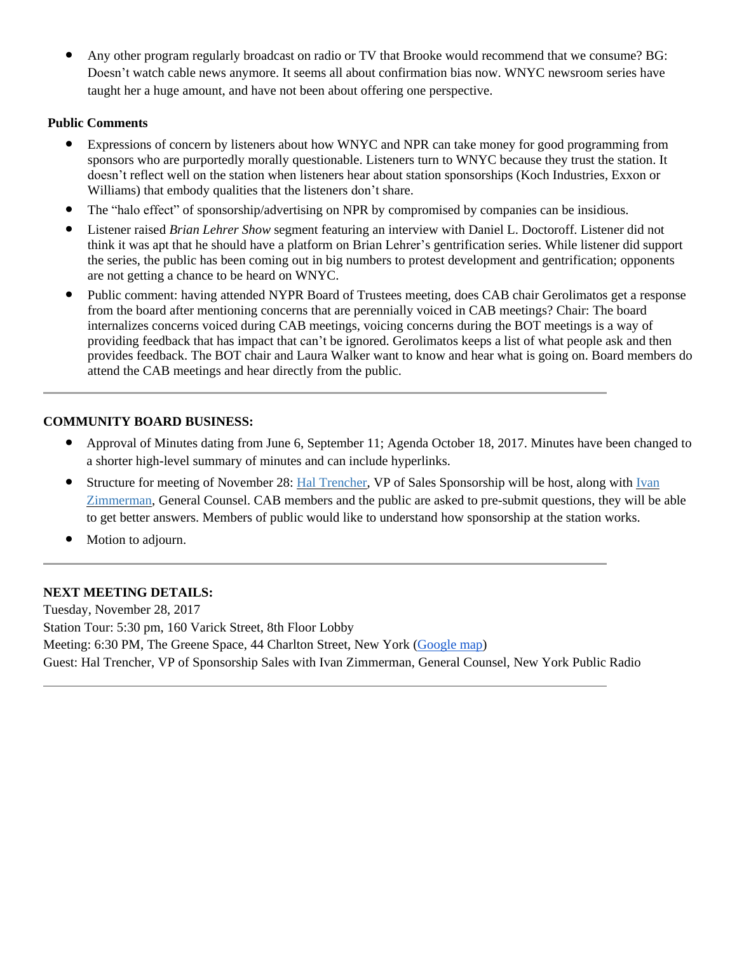Any other program regularly broadcast on radio or TV that Brooke would recommend that we consume? BG: Doesn't watch cable news anymore. It seems all about confirmation bias now. WNYC newsroom series have taught her a huge amount, and have not been about offering one perspective.

## **Public Comments**

- Expressions of concern by listeners about how WNYC and NPR can take money for good programming from sponsors who are purportedly morally questionable. Listeners turn to WNYC because they trust the station. It doesn't reflect well on the station when listeners hear about station sponsorships (Koch Industries, Exxon or Williams) that embody qualities that the listeners don't share.
- The "halo effect" of sponsorship/advertising on NPR by compromised by companies can be insidious.
- Listener raised *Brian Lehrer Show* segment featuring an interview with Daniel L. Doctoroff. Listener did not think it was apt that he should have a platform on Brian Lehrer's gentrification series. While listener did support the series, the public has been coming out in big numbers to protest development and gentrification; opponents are not getting a chance to be heard on WNYC.
- Public comment: having attended NYPR Board of Trustees meeting, does CAB chair Gerolimatos get a response from the board after mentioning concerns that are perennially voiced in CAB meetings? Chair: The board internalizes concerns voiced during CAB meetings, voicing concerns during the BOT meetings is a way of providing feedback that has impact that can't be ignored. Gerolimatos keeps a list of what people ask and then provides feedback. The BOT chair and Laura Walker want to know and hear what is going on. Board members do attend the CAB meetings and hear directly from the public.

## **COMMUNITY BOARD BUSINESS:**

- Approval of Minutes dating from June 6, September 11; Agenda October 18, 2017. Minutes have been changed to a shorter high-level summary of minutes and can include hyperlinks.
- Structure for meeting of November 28: Hal [Trencher,](https://www.linkedin.com/in/hal-trencher-4a2516/) VP of Sales Sponsorship will be host, along with [Ivan](http://www.wnyc.org/people/ivan-zimmerman/) [Zimmerman,](http://www.wnyc.org/people/ivan-zimmerman/) General Counsel. CAB members and the public are asked to pre-submit questions, they will be able to get better answers. Members of public would like to understand how sponsorship at the station works.
- Motion to adjourn.

## **NEXT MEETING DETAILS:**

Tuesday, November 28, 2017 Station Tour: 5:30 pm, 160 Varick Street, 8th Floor Lobby Meeting: 6:30 PM, The Greene Space, 44 Charlton Street, New York [\(Google](https://www.google.com/maps?q=jerome+l+greene+space&um=1&ie=UTF-8&sa=X&ved=0ahUKEwilo4eHrKLWAhXJ34MKHaMGDpMQ_AUICigB) map) Guest: Hal Trencher, VP of Sponsorship Sales with Ivan Zimmerman, General Counsel, New York Public Radio